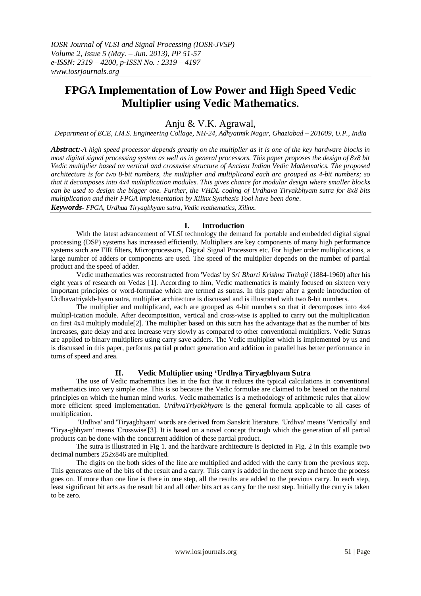# **FPGA Implementation of Low Power and High Speed Vedic Multiplier using Vedic Mathematics.**

Anju & V.K. Agrawal*,* 

*Department of ECE, I.M.S. Engineering Collage, NH-24, Adhyatmik Nagar, Ghaziabad – 201009, U.P., India*

*Abstract:***-***A high speed processor depends greatly on the multiplier as it is one of the key hardware blocks in most digital signal processing system as well as in general processors. This paper proposes the design of 8x8 bit Vedic multiplier based on vertical and crosswise structure of Ancient Indian Vedic Mathematics. The proposed architecture is for two 8-bit numbers, the multiplier and multiplicand each arc grouped as 4-bit numbers; so that it decomposes into 4x4 multiplication modules. This gives chance for modular design where smaller blocks can be used to design the bigger one. Further, the VHDL coding of Urdhava Tiryakbhyam sutra for 8x8 bits multiplication and their FPGA implementation by Xilinx Synthesis Tool have been done. Keywords- FPGA, Urdhua Tiryagbhyam sutra, Vedic mathematics, Xilinx.*

# **I. Introduction**

 With the latest advancement of VLSI technology the demand for portable and embedded digital signal processing (DSP) systems has increased efficiently. Multipliers are key components of many high performance systems such are FIR filters, Microprocessors, Digital Signal Processors etc. For higher order multiplications, a large number of adders or components are used. The speed of the multiplier depends on the number of partial product and the speed of adder.

 Vedic mathematics was reconstructed from 'Vedas' by *Sri Bharti Krishna Tirthaji* (1884-1960) after his eight years of research on Vedas [1]. According to him, Vedic mathematics is mainly focused on sixteen very important principles or word-formulae which are termed as sutras. In this paper after a gentle introduction of Urdhavatriyakb-hyam sutra, multiplier architecture is discussed and is illustrated with two 8-bit numbers.

 The multiplier and multiplicand, each are grouped as 4-bit numbers so that it decomposes into 4x4 multipl-ication module. After decomposition, vertical and cross-wise is applied to carry out the multiplication on first 4x4 multiply module[2]. The multiplier based on this sutra has the advantage that as the number of bits increases, gate delay and area increase very slowly as compared to other conventional multipliers. Vedic Sutras are applied to binary multipliers using carry save adders. The Vedic multiplier which is implemented by us and is discussed in this paper, performs partial product generation and addition in parallel has better performance in turns of speed and area.

# **II. Vedic Multiplier using 'Urdhya Tiryagbhyam Sutra**

 The use of Vedic mathematics lies in the fact that it reduces the typical calculations in conventional mathematics into very simple one. This is so because the Vedic formulae are claimed to be based on the natural principles on which the human mind works. Vedic mathematics is a methodology of arithmetic rules that allow more efficient speed implementation. *UrdhvaTriyakbhyam* is the general formula applicable to all cases of multiplication.

 'Urdhva' and 'Tiryagbhyam' words are derived from Sanskrit literature. 'Urdhva' means 'Vertically' and 'Tirya-gbhyam' means 'Crosswise'[3]. It is based on a novel concept through which the generation of all partial products can be done with the concurrent addition of these partial product.

 The sutra is illustrated in Fig 1. and the hardware architecture is depicted in Fig. 2 in this example two decimal numbers 252x846 are multiplied.

 The digits on the both sides of the line are multiplied and added with the carry from the previous step. This generates one of the bits of the result and a carry. This carry is added in the next step and hence the process goes on. If more than one line is there in one step, all the results are added to the previous carry. In each step, least significant bit acts as the result bit and all other bits act as carry for the next step. Initially the carry is taken to be zero.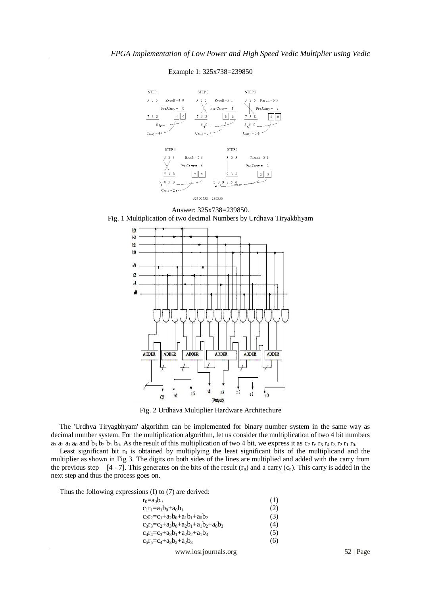#### Example 1: 325x738=239850



Answer: 325x738=239850. Fig. 1 Multiplication of two decimal Numbers by Urdhava Tiryakbhyam



Fig. 2 Urdhava Multiplier Hardware Architechure

 The 'Urdhva Tiryagbhyam' algorithm can be implemented for binary number system in the same way as decimal number system. For the multiplication algorithm, let us consider the multiplication of two 4 bit numbers  $a_3$   $a_2$   $a_1$   $a_0$  and  $b_3$   $b_2$   $b_1$   $b_0$ . As the result of this multiplication of two 4 bit, we express it as  $c_7$   $r_6$   $r_5$   $r_4$   $r_3$   $r_2$   $r_1$   $r_0$ .

Least significant bit  $r_0$  is obtained by multiplying the least significant bits of the multiplicand and the multiplier as shown in Fig 3. The digits on both sides of the lines are multiplied and added with the carry from the previous step  $[4 - 7]$ . This generates on the bits of the result  $(r_n)$  and a carry  $(c_n)$ . This carry is added in the next step and thus the process goes on.

Thus the following expressions (I) to (7) are derived:

| $r_0 = a_0 b_0$                                    | (1) |
|----------------------------------------------------|-----|
| $c_1r_1=a_1b_0+a_0b_1$                             | (2) |
| $c_2r_2 = c_1 + a_2b_0 + a_1b_1 + a_0b_2$          | (3) |
| $c_3r_3 = c_2 + a_3b_0 + a_2b_1 + a_1b_2 + a_0b_3$ | (4) |
| $c_4r_4 = c_3 + a_3b_1 + a_2b_2 + a_1b_3$          | (5) |
| $c_5r_5 = c_4 + a_3b_2 + a_2b_3$                   | (6) |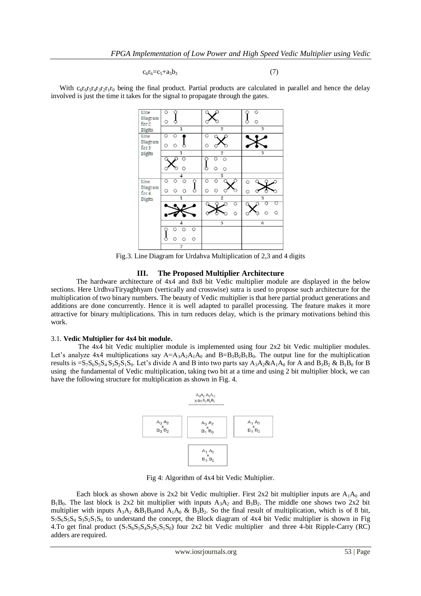$c_6r_6 = c_5 + a_3b_3$  (7)

With  $c_6r_6r_5r_4r_3r_2r_1r_0$  being the final product. Partial products are calculated in parallel and hence the delay involved is just the time it takes for the signal to propagate through the gates.



Fig.3. Line Diagram for Urdahva Multiplication of 2,3 and 4 digits

## **III. The Proposed Multiplier Architecture**

 The hardware architecture of 4x4 and 8x8 bit Vedic multiplier module are displayed in the below sections. Here UrdhvaTiryagbhyam (vertically and crosswise) sutra is used to propose such architecture for the multiplication of two binary numbers. The beauty of Vedic multiplier is that here partial product generations and additions are done concurrently. Hence it is well adapted to parallel processing. The feature makes it more attractive for binary multiplications. This in turn reduces delay, which is the primary motivations behind this work.

## 3.1. **Vedic Multiplier for 4x4 bit module.**

 The 4x4 bit Vedic multiplier module is implemented using four 2x2 bit Vedic multiplier modules. Let's analyze 4x4 multiplications say  $A=A_3A_2A_1A_0$  and  $B=B_3B_2B_1B_0$ . The output line for the multiplication results is  $=$ S<sub>7</sub>S<sub>6</sub>S<sub>5</sub>S<sub>4</sub>S<sub>3</sub>S<sub>2</sub>S<sub>1</sub>S<sub>0</sub>. Let's divide A and B into two parts say A<sub>3</sub>A<sub>2</sub>&A<sub>1</sub>A<sub>0</sub> for A and B<sub>3</sub>B<sub>2</sub> & B<sub>1</sub>B<sub>0</sub> for B using the fundamental of Vedic multiplication, taking two bit at a time and using 2 bit multiplier block, we can have the following structure for multiplication as shown in Fig. 4.



Fig 4: Algorithm of 4x4 bit Vedic Multiplier.

Each block as shown above is  $2x2$  bit Vedic multiplier. First  $2x2$  bit multiplier inputs are  $A_1A_0$  and  $B_1B_0$ . The last block is 2x2 bit multiplier with inputs  $A_3A_2$  and  $B_3B_2$ . The middle one shows two 2x2 bit multiplier with inputs  $A_3A_2$  &B<sub>1</sub>B<sub>0</sub>and  $A_1A_0$  & B<sub>3</sub>B<sub>2</sub>. So the final result of multiplication, which is of 8 bit,  $S_7S_6S_5S_4 S_3S_2S_1S_0$  to understand the concept, the Block diagram of  $4x4$  bit Vedic multiplier is shown in Fig 4.To get final product  $(S_7S_6S_5S_4S_3S_2S_1S_0)$  four 2x2 bit Vedic multiplier and three 4-bit Ripple-Carry (RC) adders are required.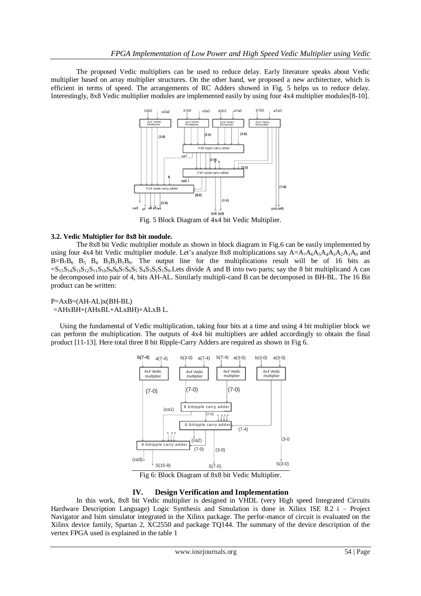The proposed Vedic multipliers can be used to reduce delay. Early literature speaks about Vedic multiplier based on array multiplier structures. On the other hand, we proposed a new architecture, which is efficient in terms of speed. The arrangements of RC Adders showed in Fig. 5 helps us to reduce delay. Interestingly, 8x8 Vedic multiplier modules are implemented easily by using four 4x4 multiplier modules[8-10].



Fig. 5 Block Diagram of 4x4 bit Vedic Multiplier.

## **3.2. Vedic Multiplier for 8x8 bit module.**

 The 8x8 bit Vedic multiplier module as shown in block diagram in Fig.6 can be easily implemented by using four 4x4 bit Vedic multiplier module. Let's analyze 8x8 multiplications say  $A=A_7A_6A_5A_4A_3A_2A_1A_0$  and  $B=B_7B_6$   $B_5$   $B_4$   $B_3B_2B_1B_0$ . The output line for the multiplications result will be of 16 bits as  $=$ S<sub>15</sub>S<sub>14</sub>S<sub>13</sub>S<sub>12</sub>S<sub>11</sub>S<sub>10</sub>S<sub>9</sub>S<sub>2</sub>S<sub>2</sub>S<sub>2</sub>S<sub>2</sub>S<sub>2</sub>S<sub>1</sub>S<sub>0</sub>, Lets divide A and B into two parts; say the 8 bit multiplicand A can be decomposed into pair of 4, bits AH-AL. Similarly multipli-cand B can be decomposed in BH-BL. The 16 Bit product can be written:

#### P=AxB=(AH-AL)x(BH-BL)  $=AHxBH+(AHxBL+ALxBH)+ALxB L$ .

 Using the fundamental of Vedic multiplication, taking four bits at a time and using 4 bit multiplier block we can perform the multiplication. The outputs of 4x4 bit multipliers are added accordingly to obtain the final product [11-13]. Here total three 8 bit Ripple-Carry Adders are required as shown in Fig 6.



Fig 6: Block Diagram of 8x8 bit Vedic Multiplier.

## **IV. Design Verification and Implementation**

 In this work, 8x8 bit Vedic multiplier is designed in VHDL (very High speed Integrated Circuits Hardware Description Language) Logic Synthesis and Simulation is done in Xilinx ISE 8.2 i – Project Navigator and Isim simulator integrated in the Xilinx package. The perfor-mance of circuit is evaluated on the Xilinx device family, Spartan 2, XC2550 and package TQ144. The summary of the device description of the vertex FPGA used is explained in the table 1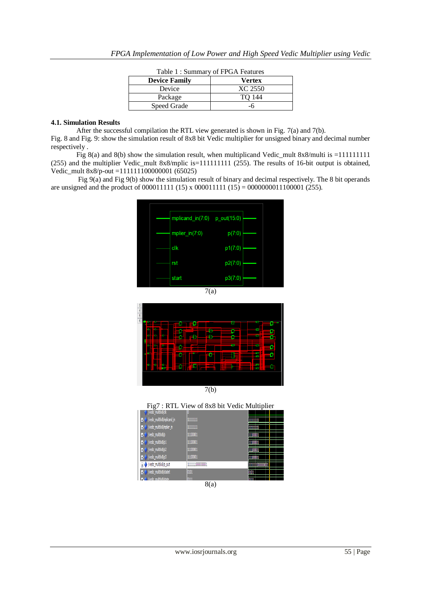| Table 1: Summary of FPGA Features |               |  |
|-----------------------------------|---------------|--|
| <b>Device Family</b>              | <b>Vertex</b> |  |
| Device                            | XC 2550       |  |
| Package                           | TO 144        |  |
| Speed Grade                       | -6            |  |

## **4.1. Simulation Results**

After the successful compilation the RTL view generated is shown in Fig. 7(a) and 7(b).

Fig. 8 and Fig. 9: show the simulation result of 8x8 bit Vedic multiplier for unsigned binary and decimal number respectively .

 Fig 8(a) and 8(b) show the simulation result, when multiplicand Vedic\_mult 8x8/multi is =111111111 (255) and the multiplier Vedic\_mult 8x8/mplic is=111111111 (255). The results of 16-bit output is obtained, Vedic\_mult 8x8/p-out =111111100000001 (65025)

 Fig 9(a) and Fig 9(b) show the simulation result of binary and decimal respectively. The 8 bit operands are unsigned and the product of 000011111 (15) x 000011111 (15) = 0000000011100001 (255).





 $\overline{7(b)}$ 



| /vedic_mult8x8/dk                      |                  |                  |
|----------------------------------------|------------------|------------------|
| <b>F-C</b> /vedic_mult8x8/mplicand_in  | 11111111         | 11111111         |
| <b>F-C</b> /vedic_mult8x8/mplier_in    | 11111111         | mmu              |
| $\blacktriangleright$ /vedic_mult8x8/p | 11100001         | 11100001         |
| <b>T-</b> /vedic_mult8x8/p1            | 11100001         | 11100001         |
| <b>F-</b> /vedic_mult8x8/p2            | 11100001         | 11100001         |
| <b>D-</b> / /vedic_mult8x8/p3          | 11100001         | 11100001         |
| yedic_mult8x8/p_out                    | 1111111000000001 | 1111111000000001 |
| <b>F-</b> /vedic_mult8x8/statet        | 0101             | 0101             |
| Madic multRyRistate                    | <b>Instit</b>    | In 11            |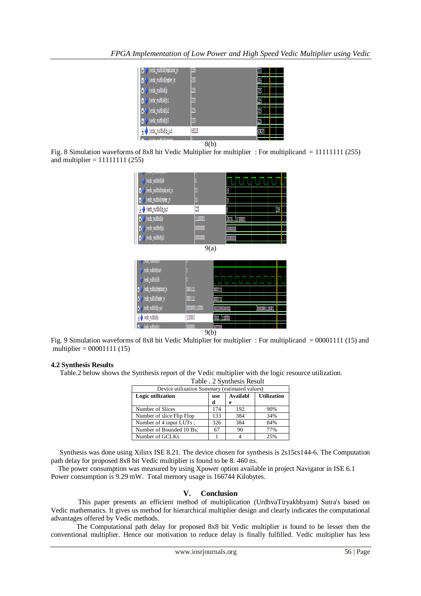| <b>IF-S</b> /vedic_mult8x8/mplicand_in | 1255  | 255   |  |
|----------------------------------------|-------|-------|--|
| Nedic_mult8x8/mplier_in                | 255   | 255   |  |
| <b>T-</b> /vedic_mult8x8/p             | 225   | 225   |  |
| Medic_mult8x8/p1                       | 225   | 225   |  |
| <b>T-</b> /vedic_mult8x8/p2            | 225   | 225   |  |
| /vedic_mult8x8/p3                      | 225   | 225   |  |
| /vedic_mult8x8/p_out                   | 65025 | 65025 |  |
| Jin Alberta                            |       |       |  |
| 8(b)                                   |       |       |  |

Fig. 8 Simulation waveforms of 8x8 bit Vedic Multiplier for multiplier : For multiplicand = 11111111 (255) and multiplier =  $1111111 (255)$ 

| <b>Lenie Tushnoodomus</b><br>hedic_mult8x8/dk |          |               |  |
|-----------------------------------------------|----------|---------------|--|
| N- / /vedic_mult8x8/mplicand_in               | 15       | 15            |  |
| /vedic_mult8x8/mplier_in<br>H                 | 15       | 15            |  |
| /vedic_mult8x8/p_out<br>$\frac{1}{2}$         | 225      | 1225          |  |
| / /vedic_mult8x8/p<br>H                       | 11100001 | 0010[11100001 |  |
| <b>H-V</b> /vedic_mult8x8/p1                  | 00000000 | 00000000      |  |
| T- / /vedic_mult8x8/p2                        | 00000000 |               |  |

9(a)

| <b><i>peuc_muoxonsi</i></b>       |                  |               |  |  |
|-----------------------------------|------------------|---------------|--|--|
| //edic_mult8x8/start              |                  |               |  |  |
| hedic_mult8x8/dk                  |                  |               |  |  |
| B-V /vedic_mult8x8/mplicand_in    | 00001111         | 00001111      |  |  |
| <b>B-4</b> /vedc_mult8x8/mpler_in | 00001111         | XXXIII        |  |  |
| <b>C-V</b> /redc_mult3x8/p_out    | 0000000011100001 | 0000000000000 |  |  |
| /vedic_mult8x8/p                  | 11100001         |               |  |  |
| hedir miliAvRIn1                  | mmmm             | MMMM          |  |  |
| 9(b)                              |                  |               |  |  |

Fig. 9 Simulation waveforms of 8x8 bit Vedic Multiplier for multiplier : For multiplicand = 00001111 (15) and multiplier =  $00001111(15)$ 

## **4.2 Synthesis Results**

Table.2 below shows the Synthesis report of the Vedic multiplier with the logic resource utilization.

| Table . 2 Synthesis Result                    |            |                 |                    |
|-----------------------------------------------|------------|-----------------|--------------------|
| Device utilization Summary (estimated values) |            |                 |                    |
| Logic utilization                             | <b>use</b> | <b>Availabl</b> | <b>Utilization</b> |
|                                               | d          | e               |                    |
| Number of Slices                              | 174        | 192             | 90%                |
| Number of slice Flip Flop                     | 133        | 384             | 34%                |
| Number of 4 input LUTs;                       | 326        | 384             | 84%                |
| Number of Bounded 10 Bs;                      | 67         | 90              | 77%                |
| Number of GCLKs                               |            | 4               | 25%                |

 Synthesis was done using Xilinx ISE 8.21. The device chosen for synthesis is 2s15cs144-6. The Computation path delay for proposed 8x8 bit Vedic multiplier is found to be 8. 460 ns.

 The power consumption was measured by using Xpower option available in project Navigator in ISE 6.1 Power consumption is 9.29 mW. Total memory usage is 166744 Kilobytes.

## **V. Conclusion**

 This paper presents an efficient method of multiplication (UrdhvaTiryakbhyam) Sutra's based on Vedic mathematics. It gives us method for hierarchical multiplier design and clearly indicates the computational advantages offered by Vedic methods.

 The Computational path delay for proposed 8x8 bit Vedic multiplier is found to be lesser then the conventional multiplier. Hence our motivation to reduce delay is finally fulfilled. Vedic multiplier has less